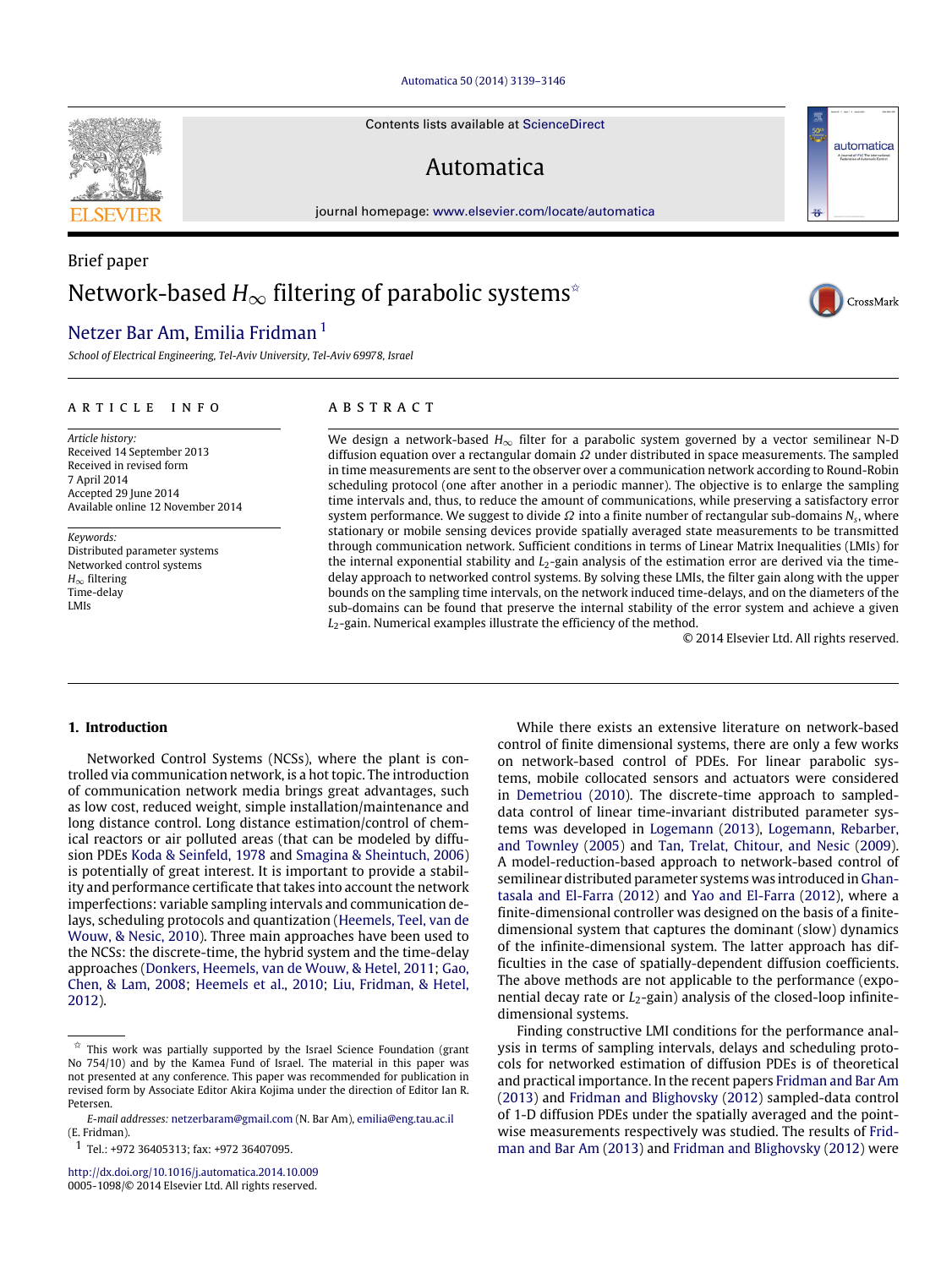#### [Automatica 50 \(2014\) 3139–3146](http://dx.doi.org/10.1016/j.automatica.2014.10.009)

Contents lists available at [ScienceDirect](http://www.elsevier.com/locate/automatica)

# Automatica

journal homepage: [www.elsevier.com/locate/automatica](http://www.elsevier.com/locate/automatica)

# Brief paper Network-based  $H_{\infty}$  filtering of parabolic systems<sup>☆</sup>

# [Netzer Bar Am,](#page-7-0) [Emilia Fridman](#page-7-1)<sup>[1](#page-0-1)</sup>

*School of Electrical Engineering, Tel-Aviv University, Tel-Aviv 69978, Israel*

#### ARTICLE INFO

*Article history:* Received 14 September 2013 Received in revised form 7 April 2014 Accepted 29 June 2014 Available online 12 November 2014

*Keywords:* Distributed parameter systems Networked control systems *H*∞ filtering Time-delay LMIs

# A B S T R A C T

We design a network-based *H*∞ filter for a parabolic system governed by a vector semilinear N-D diffusion equation over a rectangular domain  $\Omega$  under distributed in space measurements. The sampled in time measurements are sent to the observer over a communication network according to Round-Robin scheduling protocol (one after another in a periodic manner). The objective is to enlarge the sampling time intervals and, thus, to reduce the amount of communications, while preserving a satisfactory error system performance. We suggest to divide  $\varOmega$  into a finite number of rectangular sub-domains  $N_s$ , where stationary or mobile sensing devices provide spatially averaged state measurements to be transmitted through communication network. Sufficient conditions in terms of Linear Matrix Inequalities (LMIs) for the internal exponential stability and *L*<sub>2</sub>-gain analysis of the estimation error are derived via the timedelay approach to networked control systems. By solving these LMIs, the filter gain along with the upper bounds on the sampling time intervals, on the network induced time-delays, and on the diameters of the sub-domains can be found that preserve the internal stability of the error system and achieve a given *L*2-gain. Numerical examples illustrate the efficiency of the method.

© 2014 Elsevier Ltd. All rights reserved.

## **1. Introduction**

Networked Control Systems (NCSs), where the plant is controlled via communication network, is a hot topic. The introduction of communication network media brings great advantages, such as low cost, reduced weight, simple installation/maintenance and long distance control. Long distance estimation/control of chemical reactors or air polluted areas (that can be modeled by diffusion PDEs [Koda](#page-7-2) [&](#page-7-2) [Seinfeld,](#page-7-2) [1978](#page-7-2) and [Smagina](#page-7-3) [&](#page-7-3) [Sheintuch,](#page-7-3) [2006\)](#page-7-3) is potentially of great interest. It is important to provide a stability and performance certificate that takes into account the network imperfections: variable sampling intervals and communication delays, scheduling protocols and quantization [\(Heemels,](#page-7-4) [Teel,](#page-7-4) [van](#page-7-4) [de](#page-7-4) [Wouw,](#page-7-4) [&](#page-7-4) [Nesic,](#page-7-4) [2010\)](#page-7-4). Three main approaches have been used to the NCSs: the discrete-time, the hybrid system and the time-delay approaches [\(Donkers,](#page-7-5) [Heemels,](#page-7-5) [van](#page-7-5) [de](#page-7-5) [Wouw,](#page-7-5) [&](#page-7-5) [Hetel,](#page-7-5) [2011;](#page-7-5) [Gao,](#page-7-6) [Chen,](#page-7-6) [&](#page-7-6) [Lam,](#page-7-6) [2008;](#page-7-6) [Heemels](#page-7-4) [et al.,](#page-7-4) [2010;](#page-7-4) [Liu,](#page-7-7) [Fridman,](#page-7-7) [&](#page-7-7) [Hetel,](#page-7-7) [2012\)](#page-7-7).

<http://dx.doi.org/10.1016/j.automatica.2014.10.009> 0005-1098/© 2014 Elsevier Ltd. All rights reserved.

While there exists an extensive literature on network-based control of finite dimensional systems, there are only a few works on network-based control of PDEs. For linear parabolic systems, mobile collocated sensors and actuators were considered in [Demetriou](#page-7-8) [\(2010\)](#page-7-8). The discrete-time approach to sampleddata control of linear time-invariant distributed parameter systems was developed in [Logemann](#page-7-9) [\(2013\)](#page-7-9), [Logemann,](#page-7-10) [Rebarber,](#page-7-10) [and](#page-7-10) [Townley](#page-7-10) [\(2005\)](#page-7-10) and [Tan,](#page-7-11) [Trelat,](#page-7-11) [Chitour,](#page-7-11) [and](#page-7-11) [Nesic](#page-7-11) [\(2009\)](#page-7-11). A model-reduction-based approach to network-based control of [s](#page-7-12)emilinear distributed parameter systems was introduced in [Ghan](#page-7-12)[tasala](#page-7-12) [and](#page-7-12) [El-Farra](#page-7-12) [\(2012\)](#page-7-12) and [Yao](#page-7-13) [and](#page-7-13) [El-Farra](#page-7-13) [\(2012\)](#page-7-13), where a finite-dimensional controller was designed on the basis of a finitedimensional system that captures the dominant (slow) dynamics of the infinite-dimensional system. The latter approach has difficulties in the case of spatially-dependent diffusion coefficients. The above methods are not applicable to the performance (exponential decay rate or *L*<sub>2</sub>-gain) analysis of the closed-loop infinitedimensional systems.

Finding constructive LMI conditions for the performance analysis in terms of sampling intervals, delays and scheduling protocols for networked estimation of diffusion PDEs is of theoretical and practical importance. In the recent papers [Fridman](#page-7-14) [and](#page-7-14) [Bar](#page-7-14) [Am](#page-7-14) [\(2013\)](#page-7-14) and [Fridman](#page-7-15) [and](#page-7-15) [Blighovsky](#page-7-15) [\(2012\)](#page-7-15) sampled-data control of 1-D diffusion PDEs under the spatially averaged and the point[w](#page-7-14)ise measurements respectively was studied. The results of [Frid](#page-7-14)[man](#page-7-14) [and](#page-7-14) [Bar](#page-7-14) [Am](#page-7-14) [\(2013\)](#page-7-14) and [Fridman](#page-7-15) [and](#page-7-15) [Blighovsky](#page-7-15) [\(2012\)](#page-7-15) were





automatica

<span id="page-0-0"></span><sup>✩</sup> This work was partially supported by the Israel Science Foundation (grant No 754/10) and by the Kamea Fund of Israel. The material in this paper was not presented at any conference. This paper was recommended for publication in revised form by Associate Editor Akira Kojima under the direction of Editor Ian R. Petersen.

*E-mail addresses:* [netzerbaram@gmail.com](mailto:netzerbaram@gmail.com) (N. Bar Am), [emilia@eng.tau.ac.il](mailto:emilia@eng.tau.ac.il) (E. Fridman).

<span id="page-0-1"></span><sup>1</sup> Tel.: +972 36405313; fax: +972 36407095.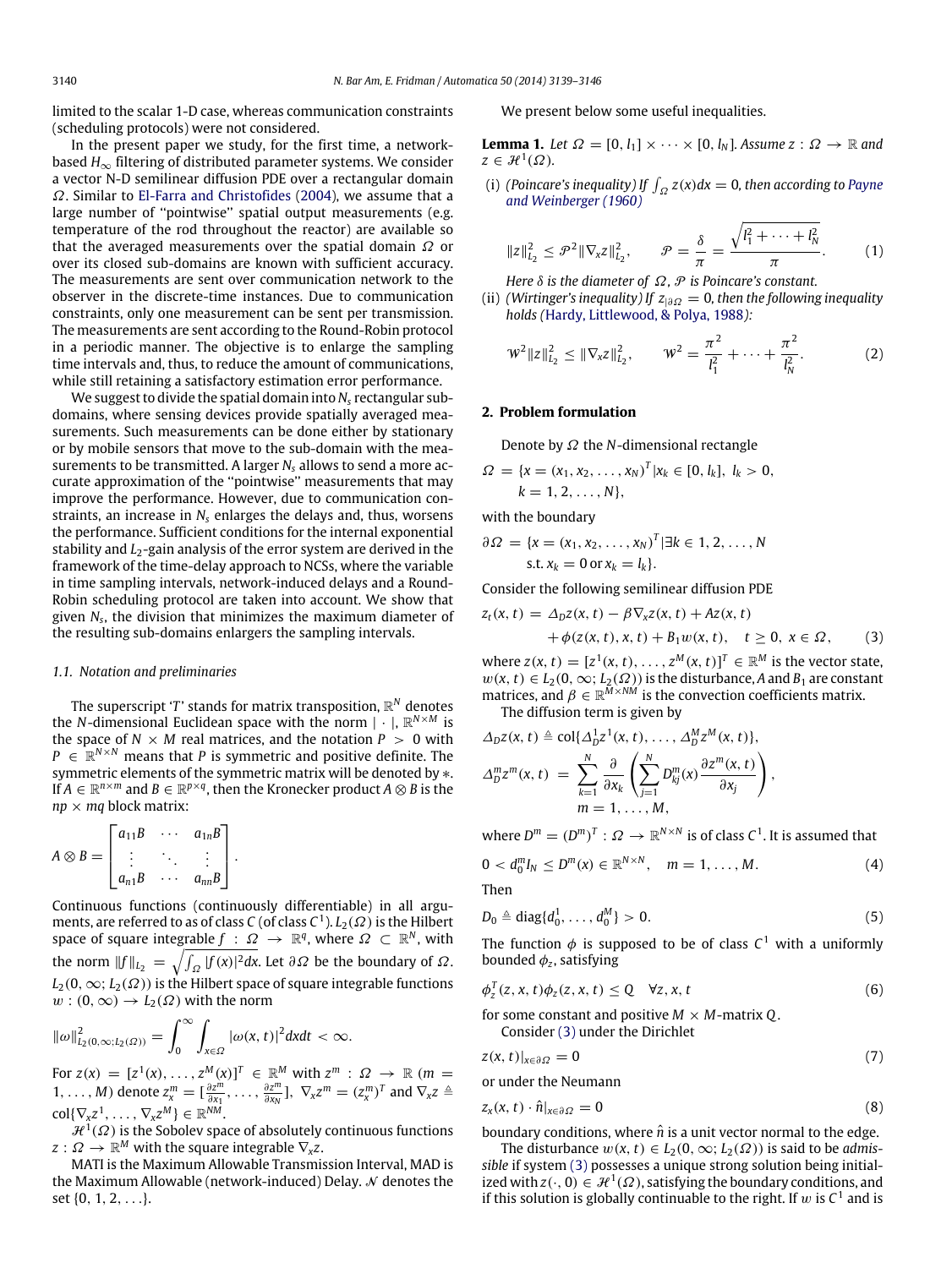limited to the scalar 1-D case, whereas communication constraints (scheduling protocols) were not considered.

In the present paper we study, for the first time, a networkbased  $H_{\infty}$  filtering of distributed parameter systems. We consider a vector N-D semilinear diffusion PDE over a rectangular domain Ω. Similar to [El-Farra](#page-7-16) [and](#page-7-16) [Christofides](#page-7-16) [\(2004\)](#page-7-16), we assume that a large number of "pointwise" spatial output measurements (e.g. temperature of the rod throughout the reactor) are available so that the averaged measurements over the spatial domain  $\Omega$  or over its closed sub-domains are known with sufficient accuracy. The measurements are sent over communication network to the observer in the discrete-time instances. Due to communication constraints, only one measurement can be sent per transmission. The measurements are sent according to the Round-Robin protocol in a periodic manner. The objective is to enlarge the sampling time intervals and, thus, to reduce the amount of communications, while still retaining a satisfactory estimation error performance.

We suggest to divide the spatial domain into *N<sup>s</sup>* rectangular subdomains, where sensing devices provide spatially averaged measurements. Such measurements can be done either by stationary or by mobile sensors that move to the sub-domain with the measurements to be transmitted. A larger *N<sup>s</sup>* allows to send a more accurate approximation of the ''pointwise'' measurements that may improve the performance. However, due to communication constraints, an increase in *N<sup>s</sup>* enlarges the delays and, thus, worsens the performance. Sufficient conditions for the internal exponential stability and *L*<sub>2</sub>-gain analysis of the error system are derived in the framework of the time-delay approach to NCSs, where the variable in time sampling intervals, network-induced delays and a Round-Robin scheduling protocol are taken into account. We show that given *N<sup>s</sup>* , the division that minimizes the maximum diameter of the resulting sub-domains enlargers the sampling intervals.

#### *1.1. Notation and preliminaries*

The superscript '*T* ' stands for matrix transposition, R *<sup>N</sup>* denotes the *N*-dimensional Euclidean space with the norm | · |, R *<sup>N</sup>*×*<sup>M</sup>* is the space of  $N \times M$  real matrices, and the notation  $P > 0$  with  $P \in \mathbb{R}^{N \times N}$  means that *P* is symmetric and positive definite. The symmetric elements of the symmetric matrix will be denoted by \*. If  $A \in \mathbb{R}^{n \times m}$  and  $B \in \mathbb{R}^{p \times q}$ , then the Kronecker product  $A \otimes B$  is the  $np \times mq$  block matrix:

$$
A \otimes B = \begin{bmatrix} a_{11}B & \cdots & a_{1n}B \\ \vdots & \ddots & \vdots \\ a_{n1}B & \cdots & a_{nn}B \end{bmatrix}.
$$

Continuous functions (continuously differentiable) in all arguments, are referred to as of class C (of class C<sup>1</sup>).  $L_2(\varOmega)$  is the Hilbert space of square integrable  $f$  :  $\Omega \rightarrow \mathbb{R}^q$ , where  $\Omega \subset \mathbb{R}^N$ , with the norm  $||f||_{L_2} = \sqrt{\int_{\Omega} |f(x)|^2 dx}$ . Let  $\partial \Omega$  be the boundary of  $\Omega$ .  $L_2(0, \infty; L_2(\Omega))$  is the Hilbert space of square integrable functions  $w:(0,\infty)\to L_2(\Omega)$  with the norm

$$
\|\omega\|_{L_2(0,\infty;L_2(\Omega))}^2=\int_0^\infty\int_{x\in\Omega}|\omega(x,t)|^2dxdt<\infty.
$$

For  $z(x) = [z^1(x), \ldots, z^M(x)]^T \in \mathbb{R}^M$  with  $z^m : \Omega \to \mathbb{R}$  ( $m =$  $1, \ldots, M$ ) denote  $z_x^m = \left[\frac{\partial z^m}{\partial x_1}\right]$  $\frac{\partial z^{\tilde{m}}}{\partial x_1}, \ldots, \frac{\partial z^{\tilde{m}}}{\partial x_N}$  $\frac{\partial z^m}{\partial x_N}$ ],  $\nabla_x z^m = (z_x^m)^T$  and  $\nabla_x z \triangleq$  $\text{col}\{\nabla_{\mathsf{x}}z^1,\ldots,\nabla_{\mathsf{x}}z^M\}\in\mathbb{R}^{NM}.$ 

 $\mathcal{H}^1(\Omega)$  is the Sobolev space of absolutely continuous functions  $z:\varOmega\to\mathbb{R}^M$  with the square integrable  $\nabla_{\!x}z.$ 

MATI is the Maximum Allowable Transmission Interval, MAD is the Maximum Allowable (network-induced) Delay.  $\mathcal N$  denotes the set {0, 1, 2, . . .}.

We present below some useful inequalities.

**Lemma 1.** *Let*  $\Omega = [0, l_1] \times \cdots \times [0, l_N]$ *. Assume*  $z : \Omega \rightarrow \mathbb{R}$  *and*  $z \in \mathcal{H}^1(\Omega)$ .

(i) *(Poincare's inequality) If*  $\int_{\Omega} z(x) dx = 0$ *, then according to [Payne](#page-7-17) [and Weinberger \(1960\)](#page-7-17)*

<span id="page-1-4"></span>
$$
||z||_{L_2}^2 \leq \mathcal{P}^2 ||\nabla_x z||_{L_2}^2, \qquad \mathcal{P} = \frac{\delta}{\pi} = \frac{\sqrt{l_1^2 + \dots + l_N^2}}{\pi}.
$$
 (1)

*Here*  $\delta$  *is the diameter of*  $\Omega$ *,*  $\mathcal P$  *is Poincare's constant.* 

(ii) *(Wirtinger's inequality) If z*|∂<sup>Ω</sup> = 0*, then the following inequality holds (*[Hardy,](#page-7-18) [Littlewood,](#page-7-18) [&](#page-7-18) [Polya,](#page-7-18) [1988](#page-7-18)*):*

<span id="page-1-6"></span>
$$
W^{2} \|z\|_{L_{2}}^{2} \leq \|\nabla_{x}z\|_{L_{2}}^{2}, \qquad W^{2} = \frac{\pi^{2}}{l_{1}^{2}} + \cdots + \frac{\pi^{2}}{l_{N}^{2}}.
$$
 (2)

#### **2. Problem formulation**

Denote by Ω the *N*-dimensional rectangle

$$
\Omega = \{x = (x_1, x_2, \dots, x_N)^T | x_k \in [0, l_k], l_k > 0, \ k = 1, 2, \dots, N\},\
$$

with the boundary

$$
\partial \Omega = \{x = (x_1, x_2, \dots, x_N)^T | \exists k \in 1, 2, \dots, N
$$
  
s.t.  $x_k = 0$  or  $x_k = l_k$ .

Consider the following semilinear diffusion PDE

$$
z_t(x, t) = \Delta_D z(x, t) - \beta \nabla_x z(x, t) + Az(x, t)
$$
  
+  $\phi(z(x, t), x, t) + B_1 w(x, t), t \ge 0, x \in \Omega,$  (3)

where  $z(x, t) = [z^1(x, t), \dots, z^M(x, t)]^T \in \mathbb{R}^M$  is the vector state,  $w(x, t) \in L_2(0, \infty; L_2(\Omega))$  is the disturbance, *A* and *B*<sub>1</sub> are constant matrices, and  $\beta \in \mathbb{R}^{\overline{M} \times \overline{NM}}$  is the convection coefficients matrix.

<span id="page-1-0"></span>The diffusion term is given by

$$
\Delta_D z(x, t) \triangleq \text{col}\{\Delta_D^1 z^1(x, t), \dots, \Delta_D^M z^M(x, t)\},
$$
  

$$
\Delta_D^m z^m(x, t) = \sum_{k=1}^N \frac{\partial}{\partial x_k} \left( \sum_{j=1}^N D_{kj}^m(x) \frac{\partial z^m(x, t)}{\partial x_j} \right),
$$
  

$$
m = 1, \dots, M,
$$

where  $D^m = (D^m)^T : \Omega \to \mathbb{R}^{N \times N}$  is of class  $C^1$ . It is assumed that

<span id="page-1-5"></span>
$$
0 < d_0^m I_N \leq D^m(x) \in \mathbb{R}^{N \times N}, \quad m = 1, ..., M.
$$
 (4)

Then

$$
D_0 \triangleq \text{diag}\{d_0^1, \ldots, d_0^M\} > 0. \tag{5}
$$

The function  $\phi$  is supposed to be of class  $C^1$  with a uniformly bounded  $\phi$ <sub>z</sub>, satisfying

$$
\phi_z^T(z, x, t)\phi_z(z, x, t) \le Q \quad \forall z, x, t \tag{6}
$$

for some constant and positive  $M \times M$ -matrix Q.

<span id="page-1-3"></span><span id="page-1-2"></span><span id="page-1-1"></span>Consider [\(3\)](#page-1-0) under the Dirichlet

$$
z(x,t)|_{x\in\partial\Omega} = 0\tag{7}
$$

or under the Neumann

$$
z_x(x, t) \cdot \hat{n}|_{x \in \partial \Omega} = 0 \tag{8}
$$

boundary conditions, where  $\hat{n}$  is a unit vector normal to the edge.

The disturbance  $w(x, t) \in L_2(0, \infty; L_2(\Omega))$  is said to be *admissible* if system [\(3\)](#page-1-0) possesses a unique strong solution being initialized with  $z(\cdot, 0) \in \mathcal{H}^1(\Omega)$ , satisfying the boundary conditions, and if this solution is globally continuable to the right. If  $w$  is  $C^1$  and is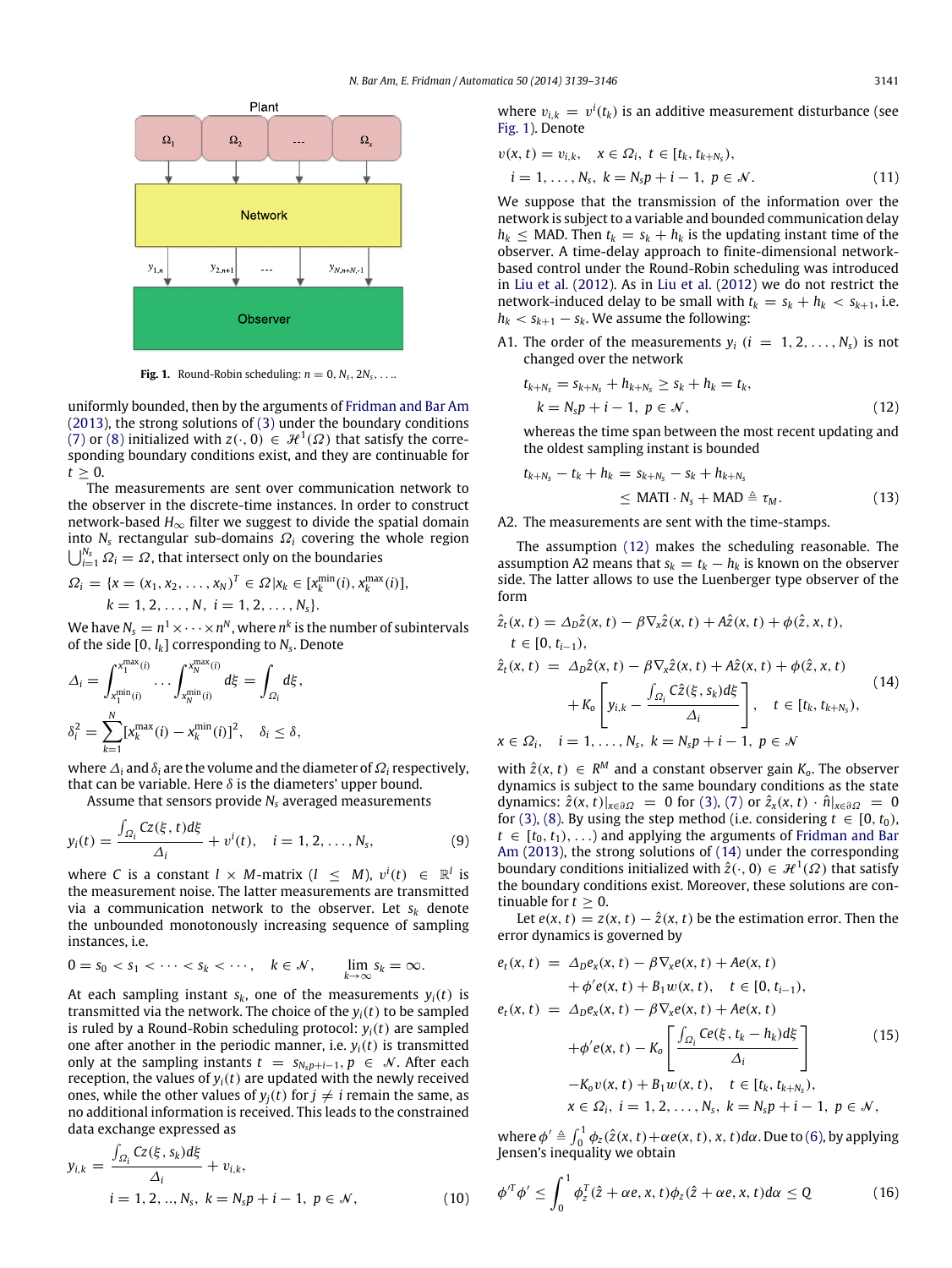<span id="page-2-0"></span>

**Fig. 1.** Round-Robin scheduling:  $n = 0, N_s, 2N_s, \ldots$ 

uniformly bounded, then by the arguments of [Fridman](#page-7-14) [and](#page-7-14) [Bar](#page-7-14) [Am](#page-7-14) [\(2013\)](#page-7-14), the strong solutions of [\(3\)](#page-1-0) under the boundary conditions [\(7\)](#page-1-1) or [\(8\)](#page-1-2) initialized with  $z(\cdot, 0) \in \mathcal{H}^1(\Omega)$  that satisfy the corresponding boundary conditions exist, and they are continuable for  $t \geq 0$ .

The measurements are sent over communication network to the observer in the discrete-time instances. In order to construct network-based *H*∞ filter we suggest to divide the spatial domain into  $N_s$  rectangular sub-domains  $\Omega_i$  covering the whole region  $\bigcup_{i=1}^{N_s} \varOmega_i = \varOmega$ , that intersect only on the boundaries

$$
\Omega_i = \{x = (x_1, x_2, \dots, x_N)^T \in \Omega | x_k \in [x_k^{\min}(i), x_k^{\max}(i)], k = 1, 2, \dots, N, i = 1, 2, \dots, N_s\}.
$$

We have  $N_s = n^1 \times \cdots \times n^N$  , where  $n^k$  is the number of subintervals of the side [0, *lk*] corresponding to *N<sup>s</sup>* . Denote

$$
\Delta_i = \int_{x_1^{\min}(i)}^{x_1^{\max}(i)} \dots \int_{x_N^{\min}(i)}^{x_N^{\max}(i)} d\xi = \int_{\Omega_i} d\xi,
$$
  

$$
\delta_i^2 = \sum_{k=1}^N [x_k^{\max}(i) - x_k^{\min}(i)]^2, \quad \delta_i \le \delta,
$$

where∆*<sup>i</sup>* and δ*<sup>i</sup>* are the volume and the diameter of Ω*<sup>i</sup>* respectively, that can be variable. Here  $\delta$  is the diameters' upper bound.

Assume that sensors provide *N<sup>s</sup>* averaged measurements

$$
y_i(t) = \frac{\int_{\Omega_i} Cz(\xi, t) d\xi}{\Delta_i} + v^i(t), \quad i = 1, 2, ..., N_s,
$$
 (9)

where *C* is a constant  $l \times M$ -matrix  $(l \leq M)$ ,  $v^{i}(t) \in \mathbb{R}^{l}$  is the measurement noise. The latter measurements are transmitted via a communication network to the observer. Let  $s_k$  denote the unbounded monotonously increasing sequence of sampling instances, i.e.

$$
0 = s_0 < s_1 < \cdots < s_k < \cdots, \quad k \in \mathcal{N}, \qquad \lim_{k \to \infty} s_k = \infty.
$$

At each sampling instant  $s_k$ , one of the measurements  $y_i(t)$  is transmitted via the network. The choice of the  $y_i(t)$  to be sampled is ruled by a Round-Robin scheduling protocol:  $y_i(t)$  are sampled one after another in the periodic manner, i.e.  $y_i(t)$  is transmitted only at the sampling instants  $t = s_{N_s p+i-1}, p \in \mathcal{N}$ . After each reception, the values of  $y_i(t)$  are updated with the newly received ones, while the other values of  $y_j(t)$  for  $j \neq i$  remain the same, as no additional information is received. This leads to the constrained data exchange expressed as

$$
y_{i,k} = \frac{\int_{\Omega_i} Cz(\xi, s_k) d\xi}{\Delta_i} + v_{i,k},
$$
  
  $i = 1, 2, ..., N_s, k = N_s p + i - 1, p \in \mathcal{N},$  (10)

where  $v_{i,k} = v^i(t_k)$  is an additive measurement disturbance (see [Fig. 1\)](#page-2-0). Denote

$$
v(x, t) = v_{i,k}, \quad x \in \Omega_i, \ t \in [t_k, t_{k+N_s}), \n i = 1, ..., N_s, \ k = N_s p + i - 1, \ p \in \mathcal{N}.
$$
\n(11)

We suppose that the transmission of the information over the network is subject to a variable and bounded communication delay  $h_k$  < MAD. Then  $t_k = s_k + h_k$  is the updating instant time of the observer. A time-delay approach to finite-dimensional networkbased control under the Round-Robin scheduling was introduced in [Liu](#page-7-7) [et al.](#page-7-7) [\(2012\)](#page-7-7). As in [Liu](#page-7-7) [et al.](#page-7-7) [\(2012\)](#page-7-7) we do not restrict the network-induced delay to be small with  $t_k = s_k + h_k < s_{k+1}$ , i.e.  $h_k < s_{k+1} - s_k$ . We assume the following:

A1. The order of the measurements  $y_i$  ( $i = 1, 2, ..., N_s$ ) is not changed over the network

<span id="page-2-1"></span>
$$
t_{k+N_s} = s_{k+N_s} + h_{k+N_s} \ge s_k + h_k = t_k, k = N_s p + i - 1, p \in \mathcal{N},
$$
\n(12)

whereas the time span between the most recent updating and the oldest sampling instant is bounded

<span id="page-2-3"></span><span id="page-2-2"></span>
$$
t_{k+N_s} - t_k + h_k = s_{k+N_s} - s_k + h_{k+N_s}
$$
  
\n
$$
\leq \text{MATI} \cdot N_s + \text{MAD} \triangleq \tau_M.
$$
 (13)

#### A2. The measurements are sent with the time-stamps.

The assumption [\(12\)](#page-2-1) makes the scheduling reasonable. The assumption A2 means that  $s_k = t_k - h_k$  is known on the observer side. The latter allows to use the Luenberger type observer of the form

$$
\hat{z}_t(x, t) = \Delta_D \hat{z}(x, t) - \beta \nabla_x \hat{z}(x, t) + A\hat{z}(x, t) + \phi(\hat{z}, x, t),
$$
\n
$$
t \in [0, t_{i-1}),
$$
\n
$$
\hat{z}_t(x, t) = \Delta_D \hat{z}(x, t) - \beta \nabla_x \hat{z}(x, t) + A\hat{z}(x, t) + \phi(\hat{z}, x, t)
$$
\n
$$
+ K_0 \left[ y_{i,k} - \frac{\int_{\Omega_i} C\hat{z}(\xi, s_k) d\xi}{\Delta_i} \right], \quad t \in [t_k, t_{k+N_s}),
$$
\n
$$
x \in \Omega_i, \quad i = 1, ..., N_s, \quad k = N_s p + i - 1, \quad p \in \mathcal{N}
$$
\n(14)

<span id="page-2-5"></span>with  $\hat{z}(x, t) \in R^M$  and a constant observer gain  $K_o$ . The observer dynamics is subject to the same boundary conditions as the state dynamics:  $\hat{z}(x, t)|_{x \in \partial \Omega} = 0$  for [\(3\),](#page-1-0) [\(7\)](#page-1-1) or  $\hat{z}_x(x, t) \cdot \hat{n}|_{x \in \partial \Omega} = 0$ for [\(3\),](#page-1-0) [\(8\).](#page-1-2) By using the step method (i.e. considering  $t \in [0, t_0)$ ,  $t \in [t_0, t_1), \ldots$  and applying the arguments of [Fridman](#page-7-14) [and](#page-7-14) [Bar](#page-7-14) [Am](#page-7-14) [\(2013\)](#page-7-14), the strong solutions of [\(14\)](#page-2-2) under the corresponding boundary conditions initialized with  $\hat{z}(\cdot, 0) \in \mathcal{H}^1(\Omega)$  that satisfy the boundary conditions exist. Moreover, these solutions are continuable for  $t > 0$ .

Let  $e(x, t) = z(x, t) - \hat{z}(x, t)$  be the estimation error. Then the error dynamics is governed by

<span id="page-2-4"></span>
$$
e_{t}(x, t) = \Delta_{D}e_{x}(x, t) - \beta \nabla_{x}e(x, t) + Ae(x, t)
$$
  
+  $\phi'e(x, t) + B_{1}w(x, t), t \in [0, t_{i-1}),$   

$$
e_{t}(x, t) = \Delta_{D}e_{x}(x, t) - \beta \nabla_{x}e(x, t) + Ae(x, t)
$$
  
+  $\phi'e(x, t) - K_{0} \left[ \frac{\int_{\Omega_{i}} Ce(\xi, t_{k} - h_{k}) d\xi}{\Delta_{i}} \right]$   
-  $K_{0}v(x, t) + B_{1}w(x, t), t \in [t_{k}, t_{k+N_{s}}),$   
 $x \in \Omega_{i}, i = 1, 2, ..., N_{s}, k = N_{s}p + i - 1, p \in \mathcal{N},$ 

where  $\phi' \triangleq \int_0^1 \phi_z(\hat{z}(x, t) + \alpha e(x, t), x, t) d\alpha$ . Due to [\(6\),](#page-1-3) by applying Jensen's inequality we obtain

<span id="page-2-7"></span><span id="page-2-6"></span>
$$
\phi'^T \phi' \le \int_0^1 \phi_z^T (\hat{z} + \alpha e, x, t) \phi_z (\hat{z} + \alpha e, x, t) d\alpha \le Q \tag{16}
$$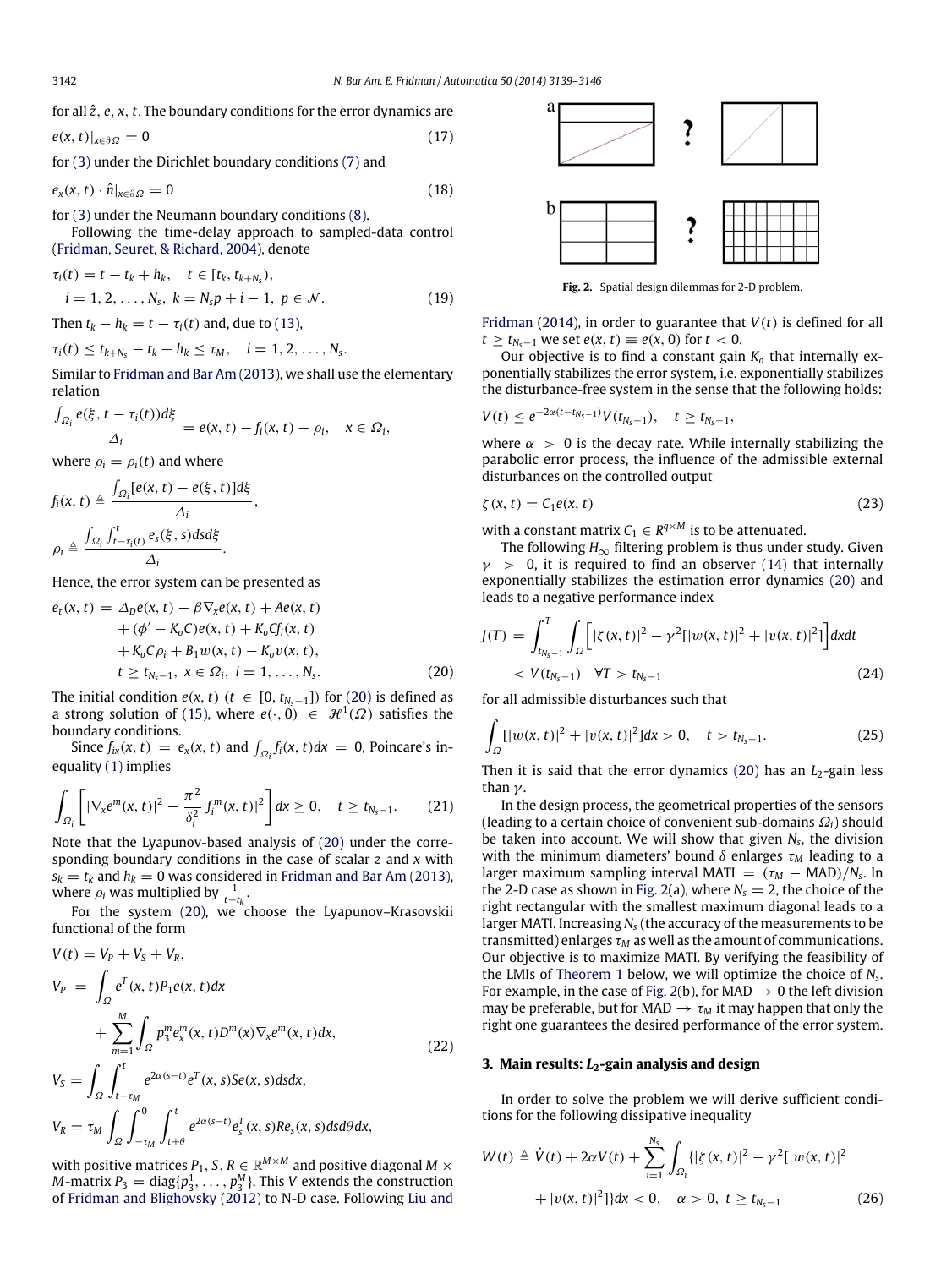for all *z*ˆ, *e*, *x*, *t*. The boundary conditions for the error dynamics are

$$
e(x, t)|_{x \in \partial \Omega} = 0 \tag{17}
$$

for [\(3\)](#page-1-0) under the Dirichlet boundary conditions [\(7\)](#page-1-1) and

$$
e_{x}(x,t)\cdot\hat{n}|_{x\in\partial\Omega}=0\tag{18}
$$

for [\(3\)](#page-1-0) under the Neumann boundary conditions [\(8\).](#page-1-2)

Following the time-delay approach to sampled-data control [\(Fridman,](#page-7-19) [Seuret,](#page-7-19) [&](#page-7-19) [Richard,](#page-7-19) [2004\)](#page-7-19), denote

$$
\tau_i(t) = t - t_k + h_k, \quad t \in [t_k, t_{k+N_s}), \n i = 1, 2, ..., N_s, \quad k = N_s p + i - 1, \ p \in \mathcal{N}.
$$
\n(19)

Then  $t_k - h_k = t - \tau_i(t)$  and, due to [\(13\),](#page-2-3)

$$
\tau_i(t) \leq t_{k+N_s} - t_k + h_k \leq \tau_M, \quad i=1,2,\ldots,N_s.
$$

Similar to [Fridman](#page-7-14) [and](#page-7-14) [Bar](#page-7-14) [Am](#page-7-14) [\(2013\)](#page-7-14), we shall use the elementary relation

$$
\frac{\int_{\Omega_i} e(\xi, t - \tau_i(t))d\xi}{\Delta_i} = e(x, t) - f_i(x, t) - \rho_i, \quad x \in \Omega_i,
$$

where  $\rho_i = \rho_i(t)$  and where

$$
f_i(x, t) \triangleq \frac{\int_{\Omega_i} [e(x, t) - e(\xi, t)] d\xi}{\Delta_i},
$$

$$
\rho_i \triangleq \frac{\int_{\Omega_i} \int_{t-\tau_i(t)}^t e_s(\xi, s) ds d\xi}{\Delta_i}.
$$

Hence, the error system can be presented as

$$
e_{t}(x, t) = \Delta_{D}e(x, t) - \beta \nabla_{x}e(x, t) + Ae(x, t) + (\phi' - K_{0}C)e(x, t) + K_{0}Cf_{i}(x, t) + K_{0}C\rho_{i} + B_{1}w(x, t) - K_{0}v(x, t), t \ge t_{N_{s}-1}, x \in \Omega_{i}, i = 1, ..., N_{s}.
$$
 (20)

The initial condition *e*(*x*, *t*) (*t* ∈ [0,  $t_{N_s-1}$ ]) for [\(20\)](#page-3-0) is defined as a strong solution of [\(15\),](#page-2-4) where  $e(\cdot, 0) \in \mathcal{H}^1(\Omega)$  satisfies the boundary conditions.

Since  $f_{ix}(x, t) = e_x(x, t)$  and  $\int_{\Omega_i} f_i(x, t) dx = 0$ , Poincare's inequality [\(1\)](#page-1-4) implies

$$
\int_{\Omega_{i}}\left[|\nabla_{x}e^{m}(x,t)|^{2}-\frac{\pi^{2}}{\delta_{i}^{2}}|f_{i}^{m}(x,t)|^{2}\right]dx\geq0,\quad t\geq t_{N_{s}-1}.\tag{21}
$$

Note that the Lyapunov-based analysis of [\(20\)](#page-3-0) under the corresponding boundary conditions in the case of scalar *z* and *x* with  $s_k = t_k$  [and](#page-7-14)  $h_k = 0$  was considered in [Fridman](#page-7-14) and [Bar](#page-7-14) [Am](#page-7-14) [\(2013\)](#page-7-14), where  $\rho_i$  was multiplied by  $\frac{1}{t-t_k}$ .

For the system [\(20\),](#page-3-0) we choose the Lyapunov–Krasovskii functional of the form

$$
V(t) = V_P + V_S + V_R,
$$
  
\n
$$
V_P = \int_{\Omega} e^T(x, t) P_1 e(x, t) dx
$$
  
\n
$$
+ \sum_{m=1}^{M} \int_{\Omega} p_3^m e_x^m(x, t) D^m(x) \nabla_x e^m(x, t) dx,
$$
  
\n
$$
V_S = \int_{\Omega} \int_{t-\tau_M}^t e^{2\alpha(s-t)} e^T(x, s) Se(x, s) ds dx,
$$
\n
$$
V_S = \int_{\Omega} \int_{t-\tau_M}^0 e^{2\alpha(s-t)} e^T(x, s) Se(x, s) ds dx,
$$
\n(22)

$$
V_R = \tau_M \int_{\Omega} \int_{-\tau_M}^{\infty} \int_{t+\theta}^{t} e^{2\alpha(s-t)} e_s^T(x, s) Re_s(x, s) ds d\theta dx,
$$

with positive matrices  $P_1,$   $S,$   $R \in \mathbb{R}^{M \times M}$  and positive diagonal  $M \times$ *M*-matrix  $P_3 = \text{diag}\{p_3^1, \ldots, p_3^M\}$ . This *V* extends the construction of [Fridman](#page-7-15) [and](#page-7-15) [Blighovsky](#page-7-15) [\(2012\)](#page-7-15) to N-D case. Following [Liu](#page-7-20) [and](#page-7-20)

<span id="page-3-6"></span><span id="page-3-5"></span><span id="page-3-1"></span>

<span id="page-3-7"></span>**Fig. 2.** Spatial design dilemmas for 2-D problem.

[Fridman](#page-7-20) [\(2014\)](#page-7-20), in order to guarantee that *V*(*t*) is defined for all *t* ≥ *t*<sub>N<sub>s−1</sub></sub> we set *e*(*x*, *t*) ≡ *e*(*x*, 0) for *t* < 0.

Our objective is to find a constant gain *K<sup>o</sup>* that internally exponentially stabilizes the error system, i.e. exponentially stabilizes the disturbance-free system in the sense that the following holds:

$$
V(t) \leq e^{-2\alpha(t-t_{N_s-1})} V(t_{N_s-1}), \quad t \geq t_{N_s-1},
$$

where  $\alpha > 0$  is the decay rate. While internally stabilizing the parabolic error process, the influence of the admissible external disturbances on the controlled output

$$
\zeta(x,t) = C_1 e(x,t) \tag{23}
$$

with a constant matrix  $C_1 \in R^{q \times M}$  is to be attenuated.

The following  $H_{\infty}$  filtering problem is thus under study. Given  $\gamma$  > 0, it is required to find an observer [\(14\)](#page-2-2) that internally exponentially stabilizes the estimation error dynamics [\(20\)](#page-3-0) and leads to a negative performance index

$$
J(T) = \int_{t_{N_S-1}}^{T} \int_{\Omega} \Big[ |\zeta(x, t)|^2 - \gamma^2 [|w(x, t)|^2 + |v(x, t)|^2] \Big] dx dt
$$
  
<  $V(t_{N_S-1}) \quad \forall T > t_{N_S-1}$  (24)

<span id="page-3-0"></span>for all admissible disturbances such that

<span id="page-3-4"></span><span id="page-3-2"></span>
$$
\int_{\Omega} [ |w(x, t)|^2 + |v(x, t)|^2 ] dx > 0, \quad t > t_{N_s - 1}.
$$
 (25)

Then it is said that the error dynamics [\(20\)](#page-3-0) has an *L*<sub>2</sub>-gain less than  $\nu$ .

<span id="page-3-8"></span>In the design process, the geometrical properties of the sensors (leading to a certain choice of convenient sub-domains Ω*i*) should be taken into account. We will show that given *N<sup>s</sup>* , the division with the minimum diameters' bound  $\delta$  enlarges  $\tau_M$  leading to a larger maximum sampling interval MATI =  $(\tau_M - \text{MAD})/N_s$ . In the 2-D case as shown in [Fig. 2\(](#page-3-1)a), where  $N_s = 2$ , the choice of the right rectangular with the smallest maximum diagonal leads to a larger MATI. Increasing *N<sup>s</sup>* (the accuracy of the measurements to be transmitted) enlarges  $\tau_M$  as well as the amount of communications. Our objective is to maximize MATI. By verifying the feasibility of the LMIs of [Theorem 1](#page-4-0) below, we will optimize the choice of *N<sup>s</sup>* . For example, in the case of [Fig. 2\(](#page-3-1)b), for MAD  $\rightarrow$  0 the left division may be preferable, but for MAD  $\rightarrow \tau_M$  it may happen that only the right one guarantees the desired performance of the error system.

#### **3. Main results:** *L***2-gain analysis and design**

In order to solve the problem we will derive sufficient conditions for the following dissipative inequality

<span id="page-3-3"></span>
$$
W(t) \triangleq \dot{V}(t) + 2\alpha V(t) + \sum_{i=1}^{N_s} \int_{\Omega_i} \{ |\zeta(x, t)|^2 - \gamma^2 [|w(x, t)|^2 + |v(x, t)|^2] \} dx < 0, \quad \alpha > 0, \ t \ge t_{N_s - 1}
$$
 (26)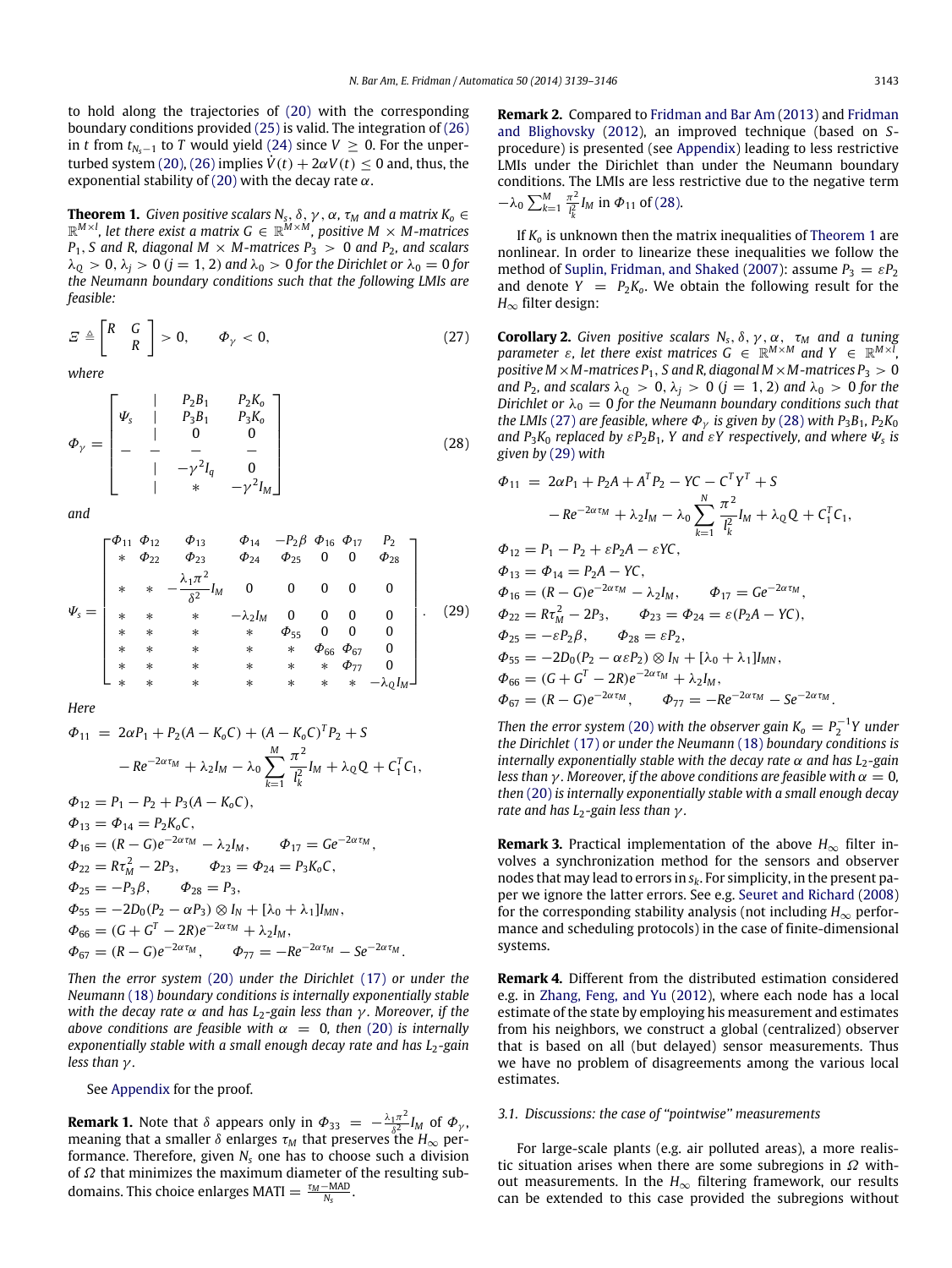to hold along the trajectories of [\(20\)](#page-3-0) with the corresponding boundary conditions provided [\(25\)](#page-3-2) is valid. The integration of [\(26\)](#page-3-3) in *t* from  $t_{N_s-1}$  to *T* would yield [\(24\)](#page-3-4) since *V* ≥ 0. For the unper-turbed system [\(20\),](#page-3-0) [\(26\)](#page-3-3) implies  $\dot{V}(t) + 2\alpha V(t) < 0$  and, thus, the exponential stability of [\(20\)](#page-3-0) with the decay rate  $\alpha$ .

<span id="page-4-0"></span>**Theorem 1.** Given positive scalars  $N_s$ ,  $\delta$ ,  $\gamma$  ,  $\alpha$ ,  $\tau_M$  and a matrix  $K_o \in \mathbb{R}^{M \times l}$ , let there exist a matrix  $G \in \mathbb{R}^{M \times M}$ , positive  $M \times M$ -matrices  $P_1$ , *S* and *R*, diagonal *M* × *M*-matrices  $P_3$  > 0 and  $P_2$ , and scalars  $\lambda_0 > 0$ ,  $\lambda_i > 0$  ( $j = 1, 2$ ) and  $\lambda_0 > 0$  for the Dirichlet or  $\lambda_0 = 0$  for *the Neumann boundary conditions such that the following LMIs are feasible:*

$$
E \triangleq \begin{bmatrix} R & G \\ R & \end{bmatrix} > 0, \qquad \Phi_{\gamma} < 0,\tag{27}
$$

*where*

$$
\Phi_{\gamma} = \begin{bmatrix}\n\psi_{s} & | & P_{2}B_{1} & P_{2}K_{o} \\
| & | & P_{3}B_{1} & P_{3}K_{o} \\
| & 0 & 0 \\
| & - & - & - \\
| & -\gamma^{2}I_{q} & 0 \\
| & * & -\gamma^{2}I_{M}\n\end{bmatrix}
$$
\n(28)

*and*

$$
\Psi_{s} = \begin{bmatrix}\n\Phi_{11} & \Phi_{12} & \Phi_{13} & \Phi_{14} & -P_{2}\beta & \Phi_{16} & \Phi_{17} & P_{2} \\
\ast & \Phi_{22} & \Phi_{23} & \Phi_{24} & \Phi_{25} & 0 & 0 & \Phi_{28} \\
\ast & \ast & -\frac{\lambda_{1}\pi^{2}}{\delta^{2}}I_{M} & 0 & 0 & 0 & 0 & 0 \\
\ast & \ast & \ast & -\lambda_{2}I_{M} & 0 & 0 & 0 & 0 \\
\ast & \ast & \ast & \ast & \Phi_{55} & 0 & 0 & 0 \\
\ast & \ast & \ast & \ast & \ast & \ast & \Phi_{66} & \Phi_{67} & 0 \\
\ast & \ast & \ast & \ast & \ast & \ast & \ast & \ast & \ast & -\lambda_{Q}I_{M}\n\end{bmatrix}.
$$
\n(29)

*Here*

$$
\Phi_{11} = 2\alpha P_1 + P_2(A - K_0C) + (A - K_0C)^T P_2 + S \n- Re^{-2\alpha\tau_M} + \lambda_2 I_M - \lambda_0 \sum_{k=1}^M \frac{\pi^2}{I_k^2} I_M + \lambda_0 Q + C_1^T C_1,
$$
\n
$$
\Phi_{12} = P_1 - P_2 + P_3(A - K_0C),
$$
\n
$$
\Phi_{13} = \Phi_{14} = P_2 K_0 C,
$$
\n
$$
\Phi_{16} = (R - G)e^{-2\alpha\tau_M} - \lambda_2 I_M, \qquad \Phi_{17} = Ge^{-2\alpha\tau_M},
$$
\n
$$
\Phi_{22} = R\tau_M^2 - 2P_3, \qquad \Phi_{23} = \Phi_{24} = P_3 K_0 C,
$$
\n
$$
\Phi_{25} = -P_3 \beta, \qquad \Phi_{28} = P_3,
$$
\n
$$
\Phi_{55} = -2D_0 (P_2 - \alpha P_3) \otimes I_N + [\lambda_0 + \lambda_1] I_{MN},
$$
\n
$$
\Phi_{66} = (G + G^T - 2R)e^{-2\alpha\tau_M} + \lambda_2 I_M,
$$
\n
$$
\Phi_{67} = (R - G)e^{-2\alpha\tau_M}, \qquad \Phi_{77} = -Re^{-2\alpha\tau_M} - Se^{-2\alpha\tau_M}.
$$

*Then the error system* [\(20\)](#page-3-0) *under the Dirichlet* [\(17\)](#page-3-5) *or under the Neumann* [\(18\)](#page-3-6) *boundary conditions is internally exponentially stable with the decay rate* α *and has L*2*-gain less than* γ *. Moreover, if the above conditions are feasible with*  $\alpha = 0$ *, then* [\(20\)](#page-3-0) *is internally exponentially stable with a small enough decay rate and has L<sub>2</sub>-gain less than* γ *.*

See [Appendix](#page-6-0) for the proof.

**Remark 1.** Note that  $\delta$  appears only in  $\Phi_{33} = -\frac{\lambda_1 \pi^2}{s^2}$  $\frac{1\pi}{\delta^2} I_M$  of  $\Phi_\gamma$ , meaning that a smaller  $\delta$  enlarges  $\tau_M$  that preserves the  $H_{\infty}$  performance. Therefore, given *N<sup>s</sup>* one has to choose such a division of  $\Omega$  that minimizes the maximum diameter of the resulting subdomains. This choice enlarges MATI  $= \frac{\tau_M - \text{MAD}}{N_s}$ .

**Remark 2.** Compared to [Fridman](#page-7-14) [and](#page-7-14) [Bar](#page-7-14) [Am](#page-7-14) [\(2013\)](#page-7-14) and [Fridman](#page-7-15) [and](#page-7-15) [Blighovsky](#page-7-15) [\(2012\)](#page-7-15), an improved technique (based on *S*procedure) is presented (see [Appendix\)](#page-6-0) leading to less restrictive LMIs under the Dirichlet than under the Neumann boundary conditions. The LMIs are less restrictive due to the negative term  $-\lambda_0 \sum_{k=1}^{M} \frac{\pi^2}{l^2}$  $\frac{\pi^2}{l_k^2} I_M$  in  $\Phi_{11}$  of [\(28\).](#page-4-1)

If *K<sup>o</sup>* is unknown then the matrix inequalities of [Theorem 1](#page-4-0) are nonlinear. In order to linearize these inequalities we follow the method of [Suplin,](#page-7-21) [Fridman,](#page-7-21) [and](#page-7-21) [Shaked](#page-7-21) [\(2007\)](#page-7-21): assume  $P_3 = \varepsilon P_2$ and denote  $Y = P_2K_0$ . We obtain the following result for the *H*∞ filter design:

<span id="page-4-4"></span><span id="page-4-2"></span><span id="page-4-1"></span>**Corollary 2.** *Given positive scalars*  $N_s$ ,  $\delta$ ,  $\gamma$ ,  $\alpha$ ,  $\tau_M$  *and a tuning parameter*  $\varepsilon$ , let there exist matrices  $G \in \mathbb{R}^{M \times M}$  and  $Y \in \mathbb{R}^{M \times I}$ , *positive M* × *M*-matrices  $P_1$ , *S* and *R*, diagonal *M* × *M*-matrices  $P_3$  > 0 *and*  $P_2$ *, and scalars*  $\lambda_0 > 0$ ,  $\lambda_i > 0$  ( $j = 1, 2$ ) *and*  $\lambda_0 > 0$  *for the Dirichlet or*  $\lambda_0 = 0$  *for the Neumann boundary conditions such that the LMIs* [\(27\)](#page-4-2) *are feasible, where*  $\Phi_{\gamma}$  *is given by* [\(28\)](#page-4-1) *with*  $P_3B_1$ *,*  $P_2K_0$ *and*  $P_3K_0$  *replaced by*  $\epsilon P_2B_1$ , *Y* and  $\epsilon Y$  *respectively, and where*  $\Psi_s$  *is given by* [\(29\)](#page-4-3) *with*

<span id="page-4-3"></span>
$$
\Phi_{11} = 2\alpha P_1 + P_2 A + A^T P_2 - YC - C^T Y^T + S \n- Re^{-2\alpha\tau_M} + \lambda_2 I_M - \lambda_0 \sum_{k=1}^N \frac{\pi^2}{l_k^2} I_M + \lambda_0 Q + C_1^T C_1, \n\Phi_{12} = P_1 - P_2 + \varepsilon P_2 A - \varepsilon Y C, \n\Phi_{13} = \Phi_{14} = P_2 A - Y C, \n\Phi_{16} = (R - G)e^{-2\alpha\tau_M} - \lambda_2 I_M, \qquad \Phi_{17} = Ge^{-2\alpha\tau_M}, \n\Phi_{22} = R\tau_M^2 - 2P_3, \qquad \Phi_{23} = \Phi_{24} = \varepsilon (P_2 A - Y C), \n\Phi_{25} = -\varepsilon P_2 \beta, \qquad \Phi_{28} = \varepsilon P_2, \n\Phi_{55} = -2D_0 (P_2 - \alpha \varepsilon P_2) \otimes I_N + [\lambda_0 + \lambda_1] I_{MN}, \n\Phi_{66} = (G + G^T - 2R)e^{-2\alpha\tau_M} + \lambda_2 I_M, \n\Phi_{67} = (R - G)e^{-2\alpha\tau_M}, \qquad \Phi_{77} = -Re^{-2\alpha\tau_M} - Se^{-2\alpha\tau_M}.
$$

*Then the error system* [\(20\)](#page-3-0) *with the observer gain*  $K_0 = P_2^{-1}Y$  *under the Dirichlet* [\(17\)](#page-3-5) *or under the Neumann* [\(18\)](#page-3-6) *boundary conditions is internally exponentially stable with the decay rate* α *and has L*<sub>2</sub>*-gain less than*  $\gamma$ *. Moreover, if the above conditions are feasible with*  $\alpha = 0$ *, then* [\(20\)](#page-3-0) *is internally exponentially stable with a small enough decay rate and has L*2*-gain less than* γ *.*

**Remark 3.** Practical implementation of the above  $H_{\infty}$  filter involves a synchronization method for the sensors and observer nodes that may lead to errors in *sk*. For simplicity, in the present paper we ignore the latter errors. See e.g. [Seuret](#page-7-22) [and](#page-7-22) [Richard](#page-7-22) [\(2008\)](#page-7-22) for the corresponding stability analysis (not including  $H_{\infty}$  performance and scheduling protocols) in the case of finite-dimensional systems.

**Remark 4.** Different from the distributed estimation considered e.g. in [Zhang,](#page-7-23) [Feng,](#page-7-23) [and](#page-7-23) [Yu](#page-7-23) [\(2012\)](#page-7-23), where each node has a local estimate of the state by employing his measurement and estimates from his neighbors, we construct a global (centralized) observer that is based on all (but delayed) sensor measurements. Thus we have no problem of disagreements among the various local estimates.

#### *3.1. Discussions: the case of ''pointwise'' measurements*

For large-scale plants (e.g. air polluted areas), a more realistic situation arises when there are some subregions in  $\Omega$  without measurements. In the  $H_{\infty}$  filtering framework, our results can be extended to this case provided the subregions without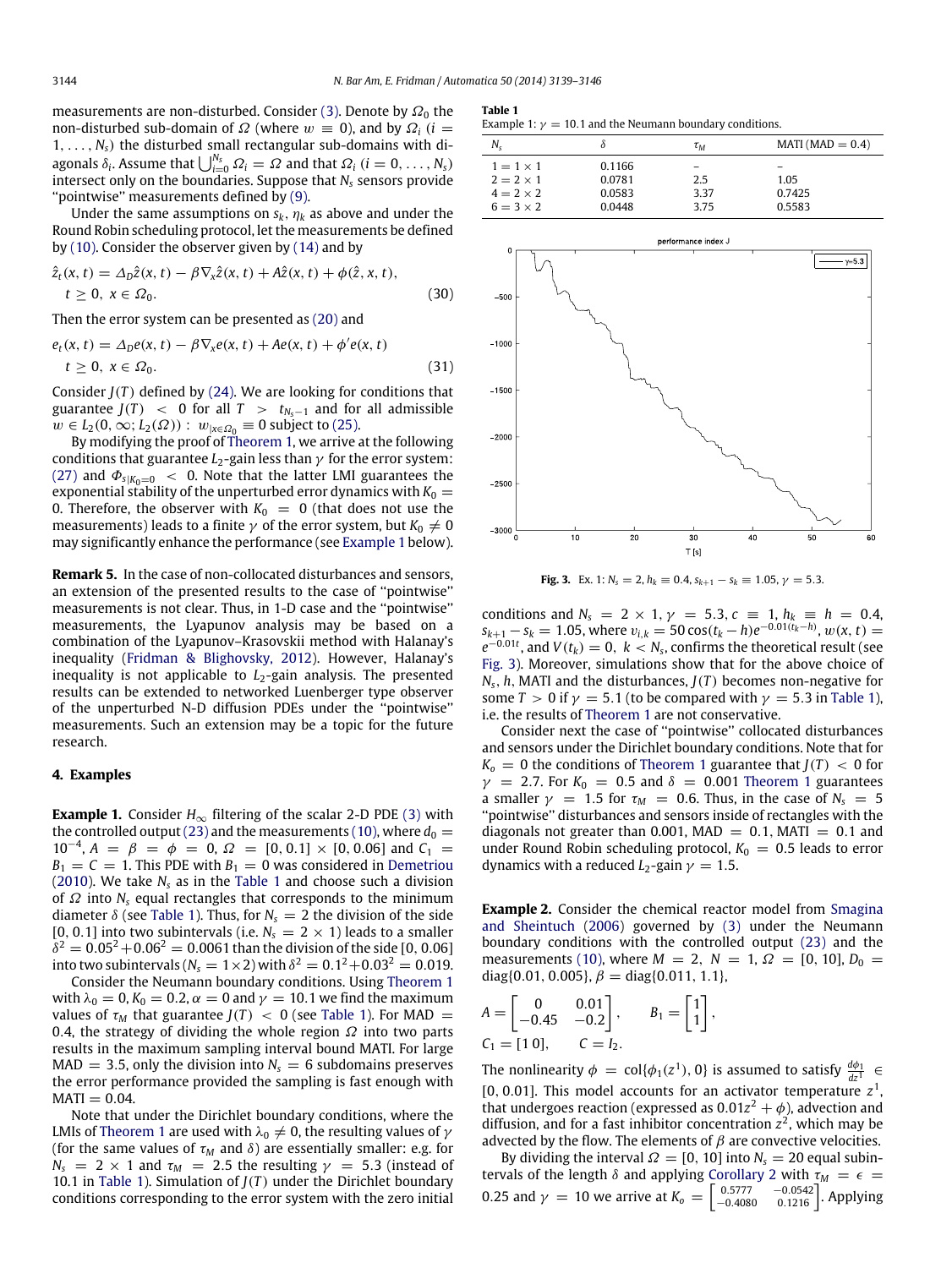measurements are non-disturbed. Consider [\(3\).](#page-1-0) Denote by  $\Omega_0$  the non-disturbed sub-domain of  $Ω$  (where  $w \equiv 0$ ), and by  $Ω<sub>i</sub>$  (*i* =  $1, \ldots, N_s$ ) the disturbed small rectangular sub-domains with diagonals  $\delta_i$ . Assume that  $\bigcup_{i=0}^{N_s} \Omega_i = \Omega$  and that  $\Omega_i$   $(i = 0, \ldots, N_s)$ intersect only on the boundaries. Suppose that *N<sup>s</sup>* sensors provide ''pointwise'' measurements defined by [\(9\).](#page-2-5)

Under the same assumptions on  $s_k$ ,  $\eta_k$  as above and under the Round Robin scheduling protocol, let the measurements be defined by [\(10\).](#page-2-6) Consider the observer given by [\(14\)](#page-2-2) and by

$$
\begin{aligned} \hat{z}_t(x,t) &= \Delta_D \hat{z}(x,t) - \beta \nabla_x \hat{z}(x,t) + A\hat{z}(x,t) + \phi(\hat{z},x,t), \\ t &\ge 0, \ x \in \Omega_0. \end{aligned} \tag{30}
$$

Then the error system can be presented as [\(20\)](#page-3-0) and

$$
e_t(x, t) = \Delta_D e(x, t) - \beta \nabla_x e(x, t) + A e(x, t) + \phi' e(x, t)
$$
  
\n
$$
t \ge 0, x \in \Omega_0.
$$
\n(31)

Consider  $J(T)$  defined by [\(24\).](#page-3-4) We are looking for conditions that guarantee  $J(T)$  < 0 for all  $T > t_{N<sub>s-1</sub>}$  and for all admissible  $w \in L_2(0, ∞; L_2(Ω))$  :  $w_{|x \in \Omega_0} \equiv 0$  subject to [\(25\).](#page-3-2)

By modifying the proof of [Theorem 1,](#page-4-0) we arrive at the following conditions that guarantee  $L_2$ -gain less than  $\gamma$  for the error system: [\(27\)](#page-4-2) and  $\Phi_{s|K_0=0}$  < 0. Note that the latter LMI guarantees the exponential stability of the unperturbed error dynamics with  $K_0 =$ 0. Therefore, the observer with  $K_0 = 0$  (that does not use the measurements) leads to a finite  $\gamma$  of the error system, but  $K_0 \neq 0$ may significantly enhance the performance (see [Example 1](#page-5-0) below).

**Remark 5.** In the case of non-collocated disturbances and sensors, an extension of the presented results to the case of ''pointwise'' measurements is not clear. Thus, in 1-D case and the ''pointwise'' measurements, the Lyapunov analysis may be based on a combination of the Lyapunov–Krasovskii method with Halanay's inequality [\(Fridman](#page-7-15) [&](#page-7-15) [Blighovsky,](#page-7-15) [2012\)](#page-7-15). However, Halanay's inequality is not applicable to  $L_2$ -gain analysis. The presented results can be extended to networked Luenberger type observer of the unperturbed N-D diffusion PDEs under the ''pointwise'' measurements. Such an extension may be a topic for the future research.

#### **4. Examples**

<span id="page-5-0"></span>**Example 1.** Consider  $H_{\infty}$  filtering of the scalar 2-D PDE [\(3\)](#page-1-0) with the controlled output [\(23\)](#page-3-7) and the measurements [\(10\),](#page-2-6) where  $d_0 =$  $10^{-4}$ ,  $A = \beta = \phi = 0$ ,  $\Omega = [0, 0.1] \times [0, 0.06]$  and  $C_1 =$  $B_1 = C = 1$ . This PDE with  $B_1 = 0$  was considered in [Demetriou](#page-7-8) [\(2010\)](#page-7-8). We take  $N_s$  as in the [Table 1](#page-5-1) and choose such a division of Ω into *N<sup>s</sup>* equal rectangles that corresponds to the minimum diameter  $\delta$  (see [Table 1\)](#page-5-1). Thus, for  $N_s = 2$  the division of the side [0, 0.1] into two subintervals (i.e.  $N_s = 2 \times 1$ ) leads to a smaller  $\delta^2 = 0.05^2\!+\!0.06^2 = 0.0061$  than the division of the side [0, 0.06] into two subintervals ( $N_{\rm s}=1\!\times\!2$ ) with  $\delta^2=0.1^2\!+\!0.03^2=0.019$ .

Consider the Neumann boundary conditions. Using [Theorem 1](#page-4-0) with  $\lambda_0 = 0$ ,  $K_0 = 0.2$ ,  $\alpha = 0$  and  $\gamma = 10.1$  we find the maximum values of  $\tau_M$  that guarantee  $J(T) < 0$  (see [Table 1\)](#page-5-1). For MAD = 0.4, the strategy of dividing the whole region  $\Omega$  into two parts results in the maximum sampling interval bound MATI. For large  $MAD = 3.5$ , only the division into  $N_s = 6$  subdomains preserves the error performance provided the sampling is fast enough with  $MATI = 0.04$ .

Note that under the Dirichlet boundary conditions, where the LMIs of [Theorem 1](#page-4-0) are used with  $\lambda_0 \neq 0$ , the resulting values of  $\gamma$ (for the same values of  $\tau_M$  and  $\delta$ ) are essentially smaller: e.g. for  $N_s = 2 \times 1$  and  $\tau_M = 2.5$  the resulting  $\gamma = 5.3$  (instead of 10.1 in [Table 1\)](#page-5-1). Simulation of  $J(T)$  under the Dirichlet boundary conditions corresponding to the error system with the zero initial

<span id="page-5-1"></span>

| э<br>n<br>ı<br>ır<br>----<br>$\sim$ |  |
|-------------------------------------|--|
|                                     |  |

| Example 1: $\gamma = 10.1$ and the Neumann boundary conditions. |  |  |  |  |
|-----------------------------------------------------------------|--|--|--|--|
|-----------------------------------------------------------------|--|--|--|--|

| N,               | δ      | $\tau_M$ | MATI (MAD $= 0.4$ ) |
|------------------|--------|----------|---------------------|
| $1 = 1 \times 1$ | 0.1166 |          |                     |
| $2 = 2 \times 1$ | 0.0781 | 2.5      | 1.05                |
| $4 = 2 \times 2$ | 0.0583 | 3.37     | 0.7425              |
| $6 = 3 \times 2$ | 0.0448 | 3.75     | 0.5583              |

<span id="page-5-2"></span>



conditions and  $N_s = 2 \times 1$ ,  $\gamma = 5.3$ ,  $c \equiv 1$ ,  $h_k \equiv h = 0.4$ ,  $s_{k+1} - s_k = 1.05$ , where  $v_{i,k} = 50 \cos(t_k - h)e^{-0.01(t_k - h)}$ ,  $w(x, t) =$  $e^{-0.01t}$ , and  $V(t_k) = 0$ ,  $k < N_s$ , confirms the theoretical result (see [Fig. 3\)](#page-5-2). Moreover, simulations show that for the above choice of  $N_s$ , *h*, MATI and the disturbances,  $J(T)$  becomes non-negative for some  $T > 0$  if  $\gamma = 5.1$  (to be compared with  $\gamma = 5.3$  in [Table 1\)](#page-5-1), i.e. the results of [Theorem 1](#page-4-0) are not conservative.

Consider next the case of ''pointwise'' collocated disturbances and sensors under the Dirichlet boundary conditions. Note that for  $K_0 = 0$  the conditions of [Theorem 1](#page-4-0) guarantee that  $J(T) < 0$  for  $\gamma$  = 2.7. For  $K_0$  = 0.5 and  $\delta$  = 0.001 [Theorem 1](#page-4-0) guarantees a smaller  $\gamma$  = 1.5 for  $\tau_M$  = 0.6. Thus, in the case of  $N_s$  = 5 ''pointwise'' disturbances and sensors inside of rectangles with the diagonals not greater than 0.001, MAD  $= 0.1$ , MATI  $= 0.1$  and under Round Robin scheduling protocol,  $K_0 = 0.5$  leads to error dynamics with a reduced  $L_2$ -gain  $\gamma = 1.5$ .

**Example 2.** Consider the chemical reactor model from [Smagina](#page-7-3) [and](#page-7-3) [Sheintuch](#page-7-3) [\(2006\)](#page-7-3) governed by [\(3\)](#page-1-0) under the Neumann boundary conditions with the controlled output [\(23\)](#page-3-7) and the measurements [\(10\),](#page-2-6) where  $M = 2$ ,  $N = 1$ ,  $\Omega = [0, 10]$ ,  $D_0 =$ diag{0.01, 0.005},  $\beta = \text{diag}{0.011, 1.1}$ ,

$$
A = \begin{bmatrix} 0 & 0.01 \\ -0.45 & -0.2 \end{bmatrix}, \qquad B_1 = \begin{bmatrix} 1 \\ 1 \end{bmatrix}, \\ C_1 = [1 \ 0], \qquad C = I_2.
$$

The nonlinearity  $\phi = \text{col}\{\phi_1(z^1), 0\}$  is assumed to satisfy  $\frac{d\phi_1}{dz^1} \in$ [0, 0.01]. This model accounts for an activator temperature  $z<sup>1</sup>$ , that undergoes reaction (expressed as  $0.01z^2 + \phi$ ), advection and diffusion, and for a fast inhibitor concentration  $z^2$ , which may be advected by the flow. The elements of  $\beta$  are convective velocities.

By dividing the interval  $\Omega = [0, 10]$  into  $N_s = 20$  equal subintervals of the length  $\delta$  and applying [Corollary 2](#page-4-4) with  $\tau_M = \epsilon$ 0.25 and  $\gamma = 10$  we arrive at  $K_o = \begin{bmatrix} 0.5777 & -0.0542 \\ -0.4080 & 0.1216 \end{bmatrix}$ . Applying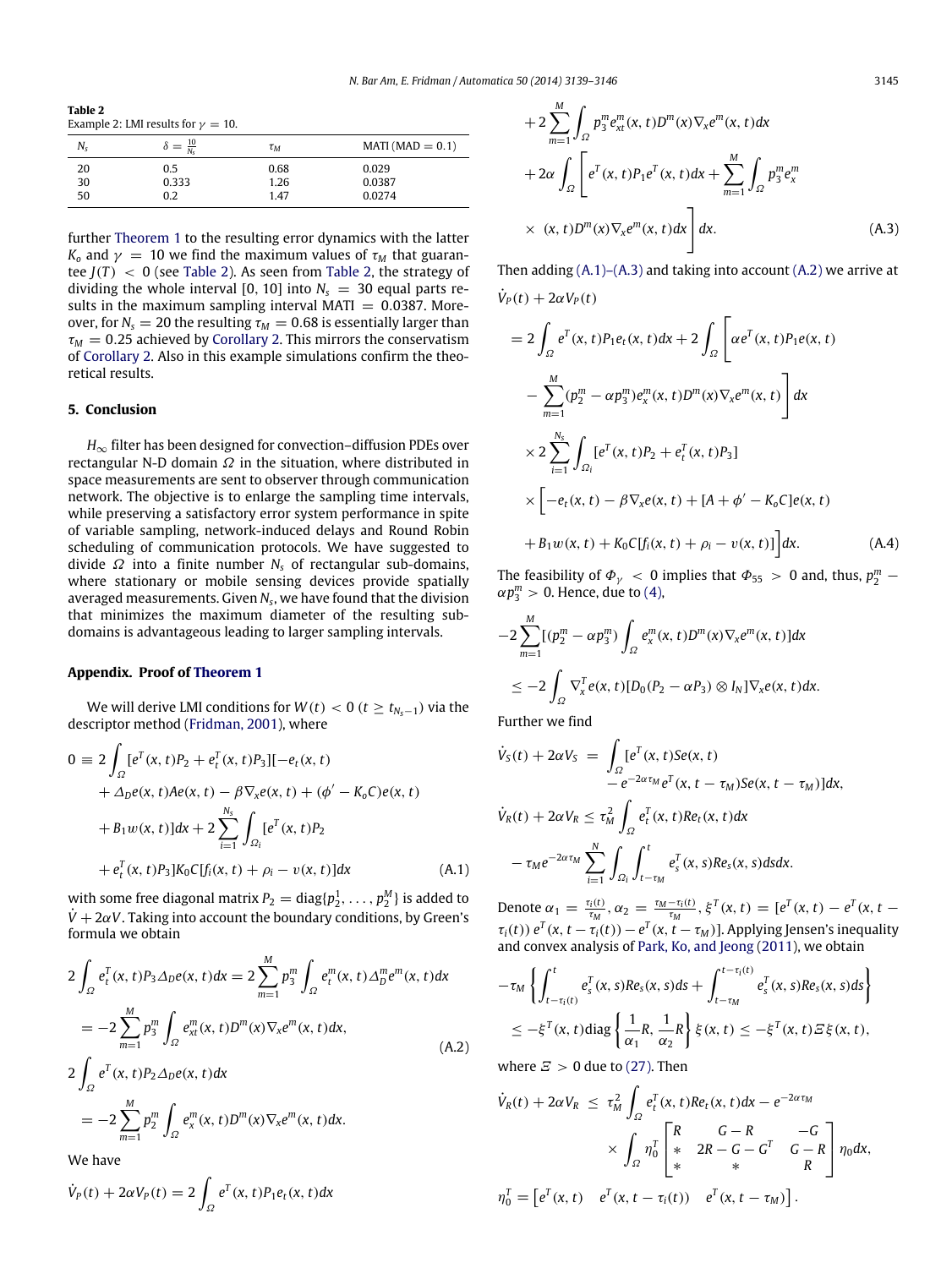<span id="page-6-1"></span>**Table 2**  $E_2 = 2.5$  LMI results for  $y = 10$ .

| $MATI(MAD = 0.1)$ |
|-------------------|
|                   |
|                   |
|                   |
|                   |

further [Theorem 1](#page-4-0) to the resulting error dynamics with the latter *K*<sub>o</sub> and  $\gamma = 10$  we find the maximum values of  $\tau_M$  that guarantee  $J(T)$  < 0 (see [Table 2\)](#page-6-1). As seen from [Table 2,](#page-6-1) the strategy of dividing the whole interval [0, 10] into  $N_s = 30$  equal parts results in the maximum sampling interval MATI  $= 0.0387$ . Moreover, for  $N_s = 20$  the resulting  $\tau_M = 0.68$  is essentially larger than  $\tau_M = 0.25$  achieved by [Corollary 2.](#page-4-4) This mirrors the conservatism of [Corollary 2.](#page-4-4) Also in this example simulations confirm the theoretical results.

## **5. Conclusion**

*H*∞ filter has been designed for convection–diffusion PDEs over rectangular N-D domain  $\Omega$  in the situation, where distributed in space measurements are sent to observer through communication network. The objective is to enlarge the sampling time intervals, while preserving a satisfactory error system performance in spite of variable sampling, network-induced delays and Round Robin scheduling of communication protocols. We have suggested to divide Ω into a finite number *N<sup>s</sup>* of rectangular sub-domains, where stationary or mobile sensing devices provide spatially averaged measurements. Given *N<sup>s</sup>* , we have found that the division that minimizes the maximum diameter of the resulting subdomains is advantageous leading to larger sampling intervals.

## <span id="page-6-0"></span>**Appendix. Proof of [Theorem 1](#page-4-0)**

We will derive LMI conditions for  $W(t) < 0$  ( $t \ge t_{N_s-1}$ ) via the descriptor method [\(Fridman,](#page-7-24) [2001\)](#page-7-24), where

$$
0 = 2 \int_{\Omega} [e^{T}(x, t)P_{2} + e_{t}^{T}(x, t)P_{3}] [-e_{t}(x, t) + \Delta_{D}e(x, t)Ae(x, t) - \beta \nabla_{x}e(x, t) + (\phi' - K_{0}C)e(x, t) + B_{1}w(x, t)]dx + 2 \sum_{i=1}^{N_{s}} \int_{\Omega_{i}} [e^{T}(x, t)P_{2} + e_{t}^{T}(x, t)P_{3}] K_{0}C[f_{i}(x, t) + \rho_{i} - v(x, t)]dx \qquad (A.1)
$$

with some free diagonal matrix  $P_2 = \text{diag}\{p_2^1, \ldots, p_2^M\}$  is added to  $\dot{V} + 2\alpha V$ . Taking into account the boundary conditions, by Green's formula we obtain

$$
2\int_{\Omega} e_t^T(x, t) P_3 \Delta_D e(x, t) dx = 2 \sum_{m=1}^M p_3^m \int_{\Omega} e_t^m(x, t) \Delta_D^m e^m(x, t) dx
$$
  
\n
$$
= -2 \sum_{m=1}^M p_3^m \int_{\Omega} e_{xt}^m(x, t) D^m(x) \nabla_x e^m(x, t) dx,
$$
  
\n
$$
2 \int_{\Omega} e^T(x, t) P_2 \Delta_D e(x, t) dx
$$
  
\n
$$
= -2 \sum_{m=1}^M p_2^m \int_{\Omega} e_x^m(x, t) D^m(x) \nabla_x e^m(x, t) dx.
$$
  
\n(A.2)

We have

$$
\dot{V}_P(t) + 2\alpha V_P(t) = 2 \int_{\Omega} e^T(x, t) P_1 e_t(x, t) dx
$$

$$
+2\sum_{m=1}^{M}\int_{\Omega}p_{3}^{m}e_{xt}^{m}(x,t)D^{m}(x)\nabla_{x}e^{m}(x,t)dx
$$

$$
+2\alpha\int_{\Omega}\left[e^{T}(x,t)P_{1}e^{T}(x,t)dx+\sum_{m=1}^{M}\int_{\Omega}p_{3}^{m}e_{x}^{m}\right]
$$

$$
\times (x,t)D^{m}(x)\nabla_{x}e^{m}(x,t)dx\right]dx.
$$
(A.3)

Then adding  $(A.1)$ – $(A.3)$  and taking into account  $(A.2)$  we arrive at  $\dot{V}_P(t) + 2\alpha V_P(t)$ 

$$
= 2 \int_{\Omega} e^{T}(x, t) P_{1}e_{t}(x, t) dx + 2 \int_{\Omega} \left[ \alpha e^{T}(x, t) P_{1}e(x, t) - \sum_{m=1}^{M} (p_{2}^{m} - \alpha p_{3}^{m}) e_{x}^{m}(x, t) D^{m}(x) \nabla_{x} e^{m}(x, t) \right] dx
$$
  

$$
\times 2 \sum_{i=1}^{N_{s}} \int_{\Omega_{i}} \left[ e^{T}(x, t) P_{2} + e_{t}^{T}(x, t) P_{3} \right]
$$
  

$$
\times \left[ -e_{t}(x, t) - \beta \nabla_{x} e(x, t) + [A + \phi' - K_{0}C] e(x, t) + B_{1} w(x, t) + K_{0} C[f_{i}(x, t) + \rho_{i} - v(x, t)] \right] dx.
$$
 (A.4)

<span id="page-6-4"></span>The feasibility of  $\Phi_{\gamma}$  < 0 implies that  $\Phi_{55}$  > 0 and, thus,  $p_2^m$  –  $\alpha p_3^m > 0$ . Hence, due to [\(4\),](#page-1-5)

$$
-2\sum_{m=1}^{M}[(p_2^m - \alpha p_3^m)\int_{\Omega}e_x^m(x,t)D^m(x)\nabla_x e^m(x,t)]dx
$$
  

$$
\leq -2\int_{\Omega}\nabla_x^T e(x,t)[D_0(P_2 - \alpha P_3) \otimes I_N]\nabla_x e(x,t)dx.
$$

Further we find

$$
\dot{V}_S(t) + 2\alpha V_S = \int_{\Omega} [e^T(x, t)Se(x, t) \n- e^{-2\alpha \tau_M} e^T(x, t - \tau_M)Se(x, t - \tau_M)]dx,
$$
\n
$$
\dot{V}_R(t) + 2\alpha V_R \le \tau_M^2 \int_{\Omega} e_t^T(x, t)Re_t(x, t)dx \n- \tau_M e^{-2\alpha \tau_M} \sum_{i=1}^N \int_{-\infty}^t e_s^T(x, s)Re_s(x, s)dsdx.
$$

<span id="page-6-2"></span>Denote  $α_1 = \frac{\tau_i(t)}{\tau_M}$ ,  $α_2 = \frac{\tau_M - \tau_i(t)}{\tau_M}$ ,  $ξ^T(x, t) = [e^T(x, t) - e^T(x, t \tau_i(t)$ )  $e^T(x, t - \tau_i(t)) - e^T(x, t - \tau_M)$ ]. Applying Jensen's inequality and convex analysis of [Park,](#page-7-25) [Ko,](#page-7-25) [and](#page-7-25) [Jeong](#page-7-25) [\(2011\)](#page-7-25), we obtain

<span id="page-6-3"></span>
$$
- \tau_M \left\{ \int_{t-\tau_i(t)}^t e_s^T(x,s) Re_s(x,s) ds + \int_{t-\tau_M}^{t-\tau_i(t)} e_s^T(x,s) Re_s(x,s) ds \right\}
$$
  

$$
\leq -\xi^T(x,t) \text{diag}\left\{ \frac{1}{\alpha_1} R, \frac{1}{\alpha_2} R \right\} \xi(x,t) \leq -\xi^T(x,t) \Xi \xi(x,t),
$$

where  $E > 0$  due to [\(27\).](#page-4-2) Then

*i*=1

Ω*i*

*<sup>t</sup>*−τ*<sup>M</sup>*

$$
\dot{V}_R(t) + 2\alpha V_R \leq \tau_M^2 \int_{\Omega} e_t^T(x, t) Re_t(x, t) dx - e^{-2\alpha \tau_M}
$$
\n
$$
\times \int_{\Omega} \eta_0^T \begin{bmatrix} R & G - R & -G \\ * & 2R - G - G^T & G - R \\ * & * & R \end{bmatrix} \eta_0 dx,
$$
\n
$$
\eta_0^T = \begin{bmatrix} e^T(x, t) & e^T(x, t - \tau_i(t)) & e^T(x, t - \tau_M) \end{bmatrix}.
$$